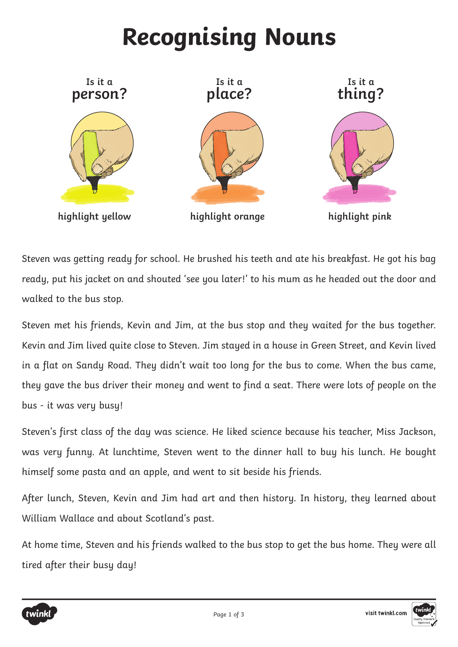## **Recognising Nouns**



Steven was getting ready for school. He brushed his teeth and ate his breakfast. He got his bag ready, put his jacket on and shouted 'see you later!' to his mum as he headed out the door and walked to the bus stop.

Steven met his friends, Kevin and Jim, at the bus stop and they waited for the bus together. Kevin and Jim lived quite close to Steven. Jim stayed in a house in Green Street, and Kevin lived in a flat on Sandy Road. They didn't wait too long for the bus to come. When the bus came, they gave the bus driver their money and went to find a seat. There were lots of people on the bus - it was very busy!

Steven's first class of the day was science. He liked science because his teacher, Miss Jackson, was very funny. At lunchtime, Steven went to the dinner hall to buy his lunch. He bought himself some pasta and an apple, and went to sit beside his friends.

After lunch, Steven, Kevin and Jim had art and then history. In history, they learned about William Wallace and about Scotland's past.

At home time, Steven and his friends walked to the bus stop to get the bus home. They were all tired after their busy day!

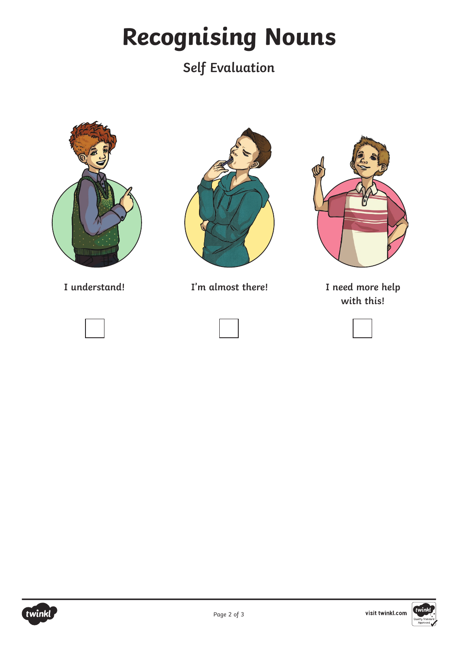## **Recognising Nouns**

## **Self Evaluation**







**I understand! I'm almost there! I need more help** 



**with this!**